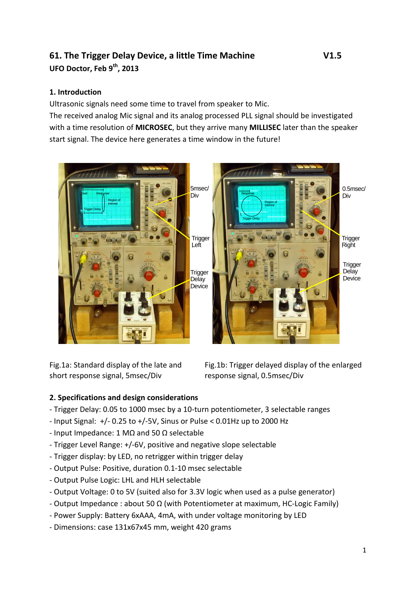# **61. The Trigger Delay Device, a little Time Machine V1.5 UFO Doctor, Feb 9 th , 2013**

## **1. Introduction**

Ultrasonic signals need some time to travel from speaker to Mic.

The received analog Mic signal and its analog processed PLL signal should be investigated with a time resolution of **MICROSEC**, but they arrive many **MILLISEC** later than the speaker start signal. The device here generates a time window in the future!



Fig.1a: Standard display of the late and short response signal, 5msec/Div

Fig.1b: Trigger delayed display of the enlarged response signal, 0.5msec/Div

# **2. Specifications and design considerations**

- Trigger Delay: 0.05 to 1000 msec by a 10-turn potentiometer, 3 selectable ranges
- Input Signal: +/- 0.25 to +/-5V, Sinus or Pulse < 0.01Hz up to 2000 Hz
- Input Impedance: 1 MΩ and 50 Ω selectable
- Trigger Level Range: +/-6V, positive and negative slope selectable
- Trigger display: by LED, no retrigger within trigger delay
- Output Pulse: Positive, duration 0.1-10 msec selectable
- Output Pulse Logic: LHL and HLH selectable
- Output Voltage: 0 to 5V (suited also for 3.3V logic when used as a pulse generator)
- Output Impedance : about 50  $\Omega$  (with Potentiometer at maximum, HC-Logic Family)
- Power Supply: Battery 6xAAA, 4mA, with under voltage monitoring by LED
- Dimensions: case 131x67x45 mm, weight 420 grams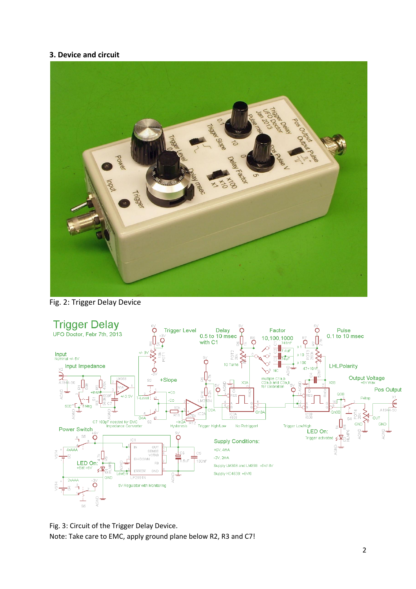### **3. Device and circuit**



Fig. 2: Trigger Delay Device



Fig. 3: Circuit of the Trigger Delay Device. Note: Take care to EMC, apply ground plane below R2, R3 and C7!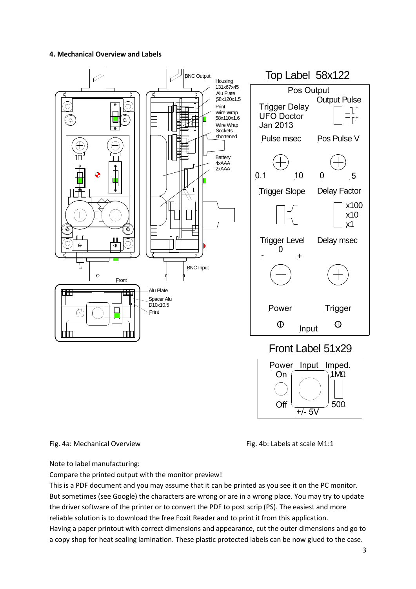#### **4. Mechanical Overview and Labels**



Fig. 4a: Mechanical Overview Fig. 4b: Labels at scale M1:1

Note to label manufacturing:

Compare the printed output with the monitor preview!

This is a PDF document and you may assume that it can be printed as you see it on the PC monitor. But sometimes (see Google) the characters are wrong or are in a wrong place. You may try to update the driver software of the printer or to convert the PDF to post scrip (PS). The easiest and more reliable solution is to download the free Foxit Reader and to print it from this application. Having a paper printout with correct dimensions and appearance, cut the outer dimensions and go to a copy shop for heat sealing lamination. These plastic protected labels can be now glued to the case.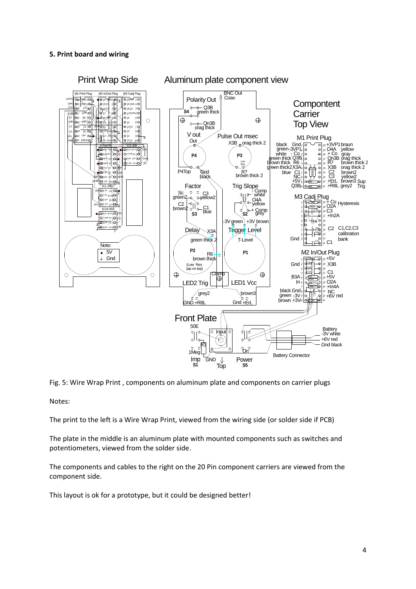#### **5. Print board and wiring**



Fig. 5: Wire Wrap Print , components on aluminum plate and components on carrier plugs

Notes:

The print to the left is a Wire Wrap Print, viewed from the wiring side (or solder side if PCB)

The plate in the middle is an aluminum plate with mounted components such as switches and potentiometers, viewed from the solder side.

The components and cables to the right on the 20 Pin component carriers are viewed from the component side.

This layout is ok for a prototype, but it could be designed better!